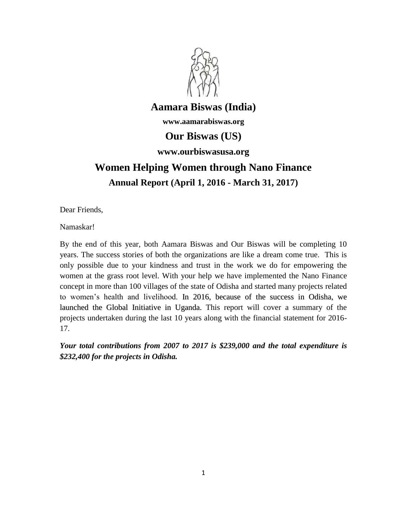

# **Aamara Biswas (India)**

**www.aamarabiswas.org**

# **Our Biswas (US)**

# **www.ourbiswasusa.org**

# **Women Helping Women through Nano Finance Annual Report (April 1, 2016 - March 31, 2017)**

Dear Friends,

Namaskar!

By the end of this year, both Aamara Biswas and Our Biswas will be completing 10 years. The success stories of both the organizations are like a dream come true. This is only possible due to your kindness and trust in the work we do for empowering the women at the grass root level. With your help we have implemented the Nano Finance concept in more than 100 villages of the state of Odisha and started many projects related to women's health and livelihood. In 2016, because of the success in Odisha, we launched the Global Initiative in Uganda. This report will cover a summary of the projects undertaken during the last 10 years along with the financial statement for 2016- 17.

*Your total contributions from 2007 to 2017 is \$239,000 and the total expenditure is \$232,400 for the projects in Odisha.*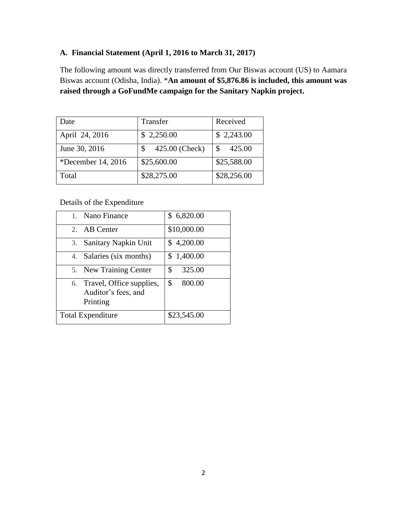# **A. Financial Statement (April 1, 2016 to March 31, 2017)**

The following amount was directly transferred from Our Biswas account (US) to Aamara Biswas account (Odisha, India). \***An amount of \$5,876.86 is included, this amount was raised through a GoFundMe campaign for the Sanitary Napkin project.**

| Date               | Transfer       | Received    |
|--------------------|----------------|-------------|
| April 24, 2016     | \$2,250.00     | \$2,243.00  |
| June 30, 2016      | 425.00 (Check) | 425.00<br>S |
| *December 14, 2016 | \$25,600.00    | \$25,588.00 |
| Total              | \$28,275.00    | \$28,256.00 |

Details of the Expenditure

| 1. Nano Finance                                                | \$6,820.00   |
|----------------------------------------------------------------|--------------|
| 2. AB Center                                                   | \$10,000.00  |
| 3. Sanitary Napkin Unit                                        | \$4,200.00   |
| 4. Salaries (six months)                                       | \$1,400.00   |
| 5. New Training Center                                         | \$<br>325.00 |
| 6. Travel, Office supplies,<br>Auditor's fees, and<br>Printing | \$<br>800.00 |
| <b>Total Expenditure</b>                                       | \$23,545.00  |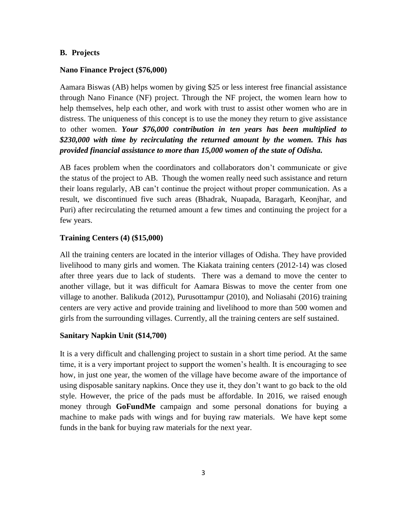## **B. Projects**

# **Nano Finance Project (\$76,000)**

Aamara Biswas (AB) helps women by giving \$25 or less interest free financial assistance through Nano Finance (NF) project. Through the NF project, the women learn how to help themselves, help each other, and work with trust to assist other women who are in distress. The uniqueness of this concept is to use the money they return to give assistance to other women. *Your \$76,000 contribution in ten years has been multiplied to \$230,000 with time by recirculating the returned amount by the women. This has provided financial assistance to more than 15,000 women of the state of Odisha.* 

AB faces problem when the coordinators and collaborators don't communicate or give the status of the project to AB. Though the women really need such assistance and return their loans regularly, AB can't continue the project without proper communication. As a result, we discontinued five such areas (Bhadrak, Nuapada, Baragarh, Keonjhar, and Puri) after recirculating the returned amount a few times and continuing the project for a few years.

# **Training Centers (4) (\$15,000)**

All the training centers are located in the interior villages of Odisha. They have provided livelihood to many girls and women. The Kiakata training centers (2012-14) was closed after three years due to lack of students. There was a demand to move the center to another village, but it was difficult for Aamara Biswas to move the center from one village to another. Balikuda (2012), Purusottampur (2010), and Noliasahi (2016) training centers are very active and provide training and livelihood to more than 500 women and girls from the surrounding villages. Currently, all the training centers are self sustained.

#### **Sanitary Napkin Unit (\$14,700)**

It is a very difficult and challenging project to sustain in a short time period. At the same time, it is a very important project to support the women's health. It is encouraging to see how, in just one year, the women of the village have become aware of the importance of using disposable sanitary napkins. Once they use it, they don't want to go back to the old style. However, the price of the pads must be affordable. In 2016, we raised enough money through **GoFundMe** campaign and some personal donations for buying a machine to make pads with wings and for buying raw materials. We have kept some funds in the bank for buying raw materials for the next year.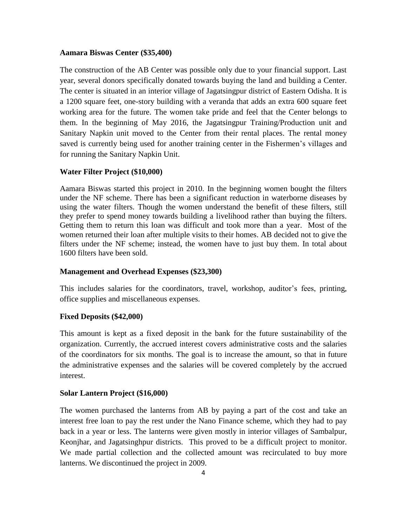## **Aamara Biswas Center (\$35,400)**

The construction of the AB Center was possible only due to your financial support. Last year, several donors specifically donated towards buying the land and building a Center. The center is situated in an interior village of Jagatsingpur district of Eastern Odisha. It is a 1200 square feet, one-story building with a veranda that adds an extra 600 square feet working area for the future. The women take pride and feel that the Center belongs to them. In the beginning of May 2016, the Jagatsingpur Training/Production unit and Sanitary Napkin unit moved to the Center from their rental places. The rental money saved is currently being used for another training center in the Fishermen's villages and for running the Sanitary Napkin Unit.

# **Water Filter Project (\$10,000)**

Aamara Biswas started this project in 2010. In the beginning women bought the filters under the NF scheme. There has been a significant reduction in waterborne diseases by using the water filters. Though the women understand the benefit of these filters, still they prefer to spend money towards building a livelihood rather than buying the filters. Getting them to return this loan was difficult and took more than a year. Most of the women returned their loan after multiple visits to their homes. AB decided not to give the filters under the NF scheme; instead, the women have to just buy them. In total about 1600 filters have been sold.

## **Management and Overhead Expenses (\$23,300)**

This includes salaries for the coordinators, travel, workshop, auditor's fees, printing, office supplies and miscellaneous expenses.

#### **Fixed Deposits (\$42,000)**

This amount is kept as a fixed deposit in the bank for the future sustainability of the organization. Currently, the accrued interest covers administrative costs and the salaries of the coordinators for six months. The goal is to increase the amount, so that in future the administrative expenses and the salaries will be covered completely by the accrued interest.

# **Solar Lantern Project (\$16,000)**

The women purchased the lanterns from AB by paying a part of the cost and take an interest free loan to pay the rest under the Nano Finance scheme, which they had to pay back in a year or less. The lanterns were given mostly in interior villages of Sambalpur, Keonjhar, and Jagatsinghpur districts. This proved to be a difficult project to monitor. We made partial collection and the collected amount was recirculated to buy more lanterns. We discontinued the project in 2009.